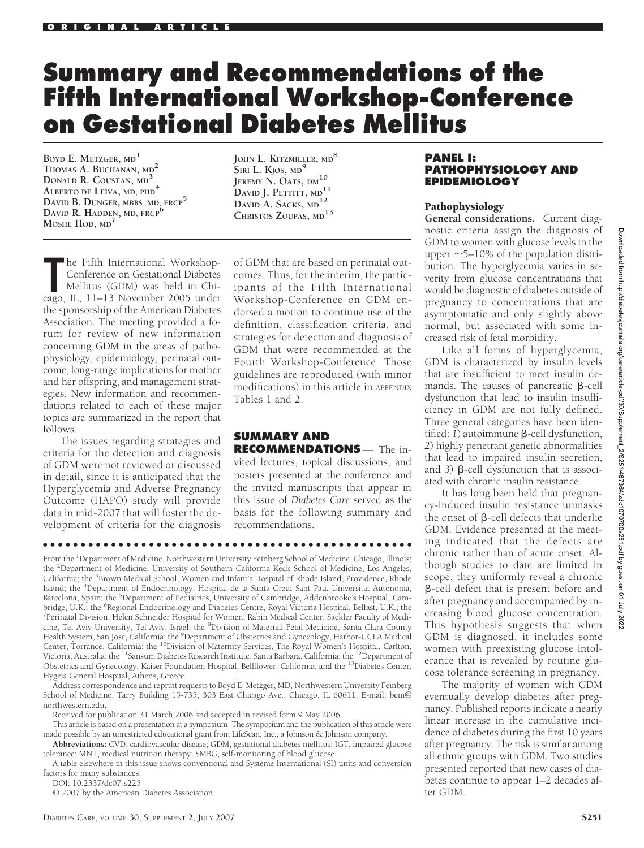# **Summary and Recommendations of the Fifth International Workshop-Conference on Gestational Diabetes Mellitus**

**BOYD E. METZGER, MD<sup>1</sup> THOMAS A. BUCHANAN, MD<sup>2</sup> DONALD R. COUSTAN, MD<sup>3</sup> ALBERTO DE LEIVA, MD, PHD<sup>4</sup> DAVID B. DUNGER, MBBS, MD, FRCP<sup>5</sup> DAVID R. HADDEN, MD, FRCP<sup>6</sup> MOSHE HOD, MD<sup>7</sup>**

**JOHN L. KITZMILLER, MD<sup>8</sup> SIRI L. KJOS, MD<sup>9</sup> JEREMY N. OATS, DM<sup>10</sup> DAVID J. PETTITT, MD<sup>11</sup> DAVID A. SACKS, MD<sup>12</sup> CHRISTOS ZOUPAS, MD<sup>13</sup>**

**The Fifth International Workshop-Conference on Gestational Diabetes<br>
Mellitus (GDM) was held in Chi-<br>
cago, IL, 11–13 November 2005 under** he Fifth International Workshop-Conference on Gestational Diabetes Mellitus (GDM) was held in Chithe sponsorship of the American Diabetes Association. The meeting provided a forum for review of new information concerning GDM in the areas of pathophysiology, epidemiology, perinatal outcome, long-range implications for mother and her offspring, and management strategies. New information and recommendations related to each of these major topics are summarized in the report that follows.

The issues regarding strategies and criteria for the detection and diagnosis of GDM were not reviewed or discussed in detail, since it is anticipated that the Hyperglycemia and Adverse Pregnancy Outcome (HAPO) study will provide data in mid-2007 that will foster the development of criteria for the diagnosis

of GDM that are based on perinatal outcomes. Thus, for the interim, the participants of the Fifth International Workshop-Conference on GDM endorsed a motion to continue use of the definition, classification criteria, and strategies for detection and diagnosis of GDM that were recommended at the Fourth Workshop-Conference. Those guidelines are reproduced (with minor modifications) in this article in APPENDIX Tables 1 and 2.

## **SUMMARY AND RECOMMENDATIONS** — The in-

vited lectures, topical discussions, and posters presented at the conference and the invited manuscripts that appear in this issue of *Diabetes Care* served as the basis for the following summary and recommendations.

#### ●●●●●●●●●●●●●●●●●●●●●●●●●●●●●●●●●●●●●●●●●●●●●●●●●

From the <sup>1</sup>Department of Medicine, Northwestern University Feinberg School of Medicine, Chicago, Illinois; the <sup>2</sup>Department of Medicine, University of Southern California Keck School of Medicine, Los Angeles, California; the <sup>3</sup>Brown Medical School, Women and Infant's Hospital of Rhode Island, Providence, Rhode Island; the <sup>4</sup>Department of Endocrinology, Hospital de la Santa Creui Sant Pau, Universitat Autònoma, Barcelona, Spain; the <sup>5</sup>Department of Pediatrics, University of Cambridge, Addenbrooke's Hospital, Cambridge, U.K.; the <sup>6</sup>Regional Endocrinology and Diabetes Centre, Royal Victoria Hospital, Belfast, U.K.; the<br><sup>7</sup>Perinatal Division, Helen Schneider Hospital for Women, Rabin Medical Center, Sackler Faculty of Medi-Perinatal Division, Helen Schneider Hospital for Women, Rabin Medical Center, Sackler Faculty of Medicine, Tel Aviv University, Tel Aviv, Israel; the <sup>8</sup>Division of Maternal-Fetal Medicine, Santa Clara County Health System, San Jose, California; the <sup>9</sup>Department of Obstetrics and Gynecology, Harbor-UCLA Medical Center, Torrance, California; the <sup>10</sup>Division of Maternity Services, The Royal Women's Hospital, Carlton, Victoria, Australia; the <sup>11</sup>Sansum Diabetes Research Institute, Santa Barbara, California; the <sup>12</sup>Department of Obstetrics and Gynecology, Kaiser Foundation Hospital, Bellflower, California; and the 13Diabetes Center, Hygeia General Hospital, Athens, Greece.

Address correspondence and reprint requests to Boyd E. Metzger, MD, Northwestern University Feinberg School of Medicine, Tarry Building 15-735, 303 East Chicago Ave., Chicago, IL 60611. E-mail: bem@ northwestern.edu.

Received for publication 31 March 2006 and accepted in revised form 9 May 2006.

This article is based on a presentation at a symposium. The symposium and the publication of this article were made possible by an unrestricted educational grant from LifeScan, Inc., a Johnson & Johnson company.

**Abbreviations:** CVD, cardiovascular disease; GDM, gestational diabetes mellitus; IGT, impaired glucose tolerance; MNT, medical nutrition therapy; SMBG, self-monitoring of blood glucose.

A table elsewhere in this issue shows conventional and Système International (SI) units and conversion factors for many substances.

DOI: 10.2337/dc07-s225

© 2007 by the American Diabetes Association.

#### **PANEL I: PATHOPHYSIOLOGY AND EPIDEMIOLOGY**

## Pathophysiology

**General considerations.** Current diagnostic criteria assign the diagnosis of GDM to women with glucose levels in the upper  $\sim$  5–10% of the population distribution. The hyperglycemia varies in severity from glucose concentrations that would be diagnostic of diabetes outside of pregnancy to concentrations that are asymptomatic and only slightly above normal, but associated with some increased risk of fetal morbidity.

Like all forms of hyperglycemia, GDM is characterized by insulin levels that are insufficient to meet insulin demands. The causes of pancreatic  $\beta$ -cell dysfunction that lead to insulin insufficiency in GDM are not fully defined. Three general categories have been iden $t$ ified: 1) autoimmune  $\beta$ -cell dysfunction, *2*) highly penetrant genetic abnormalities that lead to impaired insulin secretion, and 3)  $\beta$ -cell dysfunction that is associated with chronic insulin resistance.

It has long been held that pregnancy-induced insulin resistance unmasks the onset of  $\beta$ -cell defects that underlie GDM. Evidence presented at the meeting indicated that the defects are chronic rather than of acute onset. Although studies to date are limited in scope, they uniformly reveal a chronic --cell defect that is present before and after pregnancy and accompanied by increasing blood glucose concentration. This hypothesis suggests that when GDM is diagnosed, it includes some women with preexisting glucose intolerance that is revealed by routine glucose tolerance screening in pregnancy.

The majority of women with GDM eventually develop diabetes after pregnancy. Published reports indicate a nearly linear increase in the cumulative incidence of diabetes during the first 10 years after pregnancy. The risk is similar among all ethnic groups with GDM. Two studies presented reported that new cases of diabetes continue to appear 1–2 decades after GDM.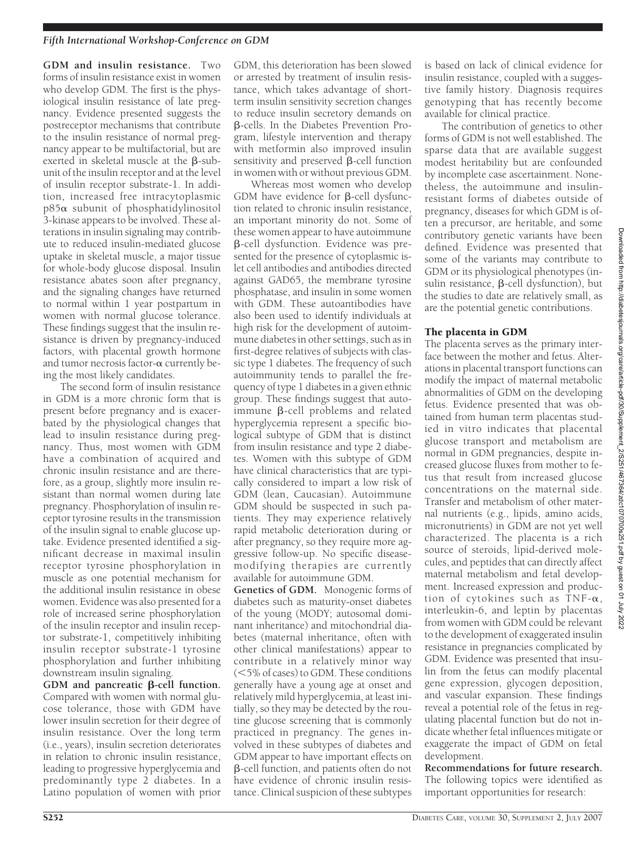#### *Fifth International Workshop-Conference on GDM*

**GDM and insulin resistance.** Two forms of insulin resistance exist in women who develop GDM. The first is the physiological insulin resistance of late pregnancy. Evidence presented suggests the postreceptor mechanisms that contribute to the insulin resistance of normal pregnancy appear to be multifactorial, but are exerted in skeletal muscle at the  $\beta$ -subunit of the insulin receptor and at the level of insulin receptor substrate-1. In addition, increased free intracytoplasmic  $p85\alpha$  subunit of phosphatidylinositol 3-kinase appears to be involved. These alterations in insulin signaling may contribute to reduced insulin-mediated glucose uptake in skeletal muscle, a major tissue for whole-body glucose disposal. Insulin resistance abates soon after pregnancy, and the signaling changes have returned to normal within 1 year postpartum in women with normal glucose tolerance. These findings suggest that the insulin resistance is driven by pregnancy-induced factors, with placental growth hormone and tumor necrosis factor- $\alpha$  currently being the most likely candidates.

The second form of insulin resistance in GDM is a more chronic form that is present before pregnancy and is exacerbated by the physiological changes that lead to insulin resistance during pregnancy. Thus, most women with GDM have a combination of acquired and chronic insulin resistance and are therefore, as a group, slightly more insulin resistant than normal women during late pregnancy. Phosphorylation of insulin receptor tyrosine results in the transmission of the insulin signal to enable glucose uptake. Evidence presented identified a significant decrease in maximal insulin receptor tyrosine phosphorylation in muscle as one potential mechanism for the additional insulin resistance in obese women. Evidence was also presented for a role of increased serine phosphorylation of the insulin receptor and insulin receptor substrate-1, competitively inhibiting insulin receptor substrate-1 tyrosine phosphorylation and further inhibiting downstream insulin signaling.

GDM and pancreatic  $\beta$ -cell function. Compared with women with normal glucose tolerance, those with GDM have lower insulin secretion for their degree of insulin resistance. Over the long term (i.e., years), insulin secretion deteriorates in relation to chronic insulin resistance, leading to progressive hyperglycemia and predominantly type 2 diabetes. In a Latino population of women with prior

GDM, this deterioration has been slowed or arrested by treatment of insulin resistance, which takes advantage of shortterm insulin sensitivity secretion changes to reduce insulin secretory demands on --cells. In the Diabetes Prevention Program, lifestyle intervention and therapy with metformin also improved insulin sensitivity and preserved  $\beta$ -cell function in women with or without previous GDM.

Whereas most women who develop  $GDM$  have evidence for  $\beta$ -cell dysfunction related to chronic insulin resistance, an important minority do not. Some of these women appear to have autoimmune --cell dysfunction. Evidence was presented for the presence of cytoplasmic islet cell antibodies and antibodies directed against GAD65, the membrane tyrosine phosphatase, and insulin in some women with GDM. These autoantibodies have also been used to identify individuals at high risk for the development of autoimmune diabetes in other settings, such as in first-degree relatives of subjects with classic type 1 diabetes. The frequency of such autoimmunity tends to parallel the frequency of type 1 diabetes in a given ethnic group. These findings suggest that autoimmune  $\beta$ -cell problems and related hyperglycemia represent a specific biological subtype of GDM that is distinct from insulin resistance and type 2 diabetes. Women with this subtype of GDM have clinical characteristics that are typically considered to impart a low risk of GDM (lean, Caucasian). Autoimmune GDM should be suspected in such patients. They may experience relatively rapid metabolic deterioration during or after pregnancy, so they require more aggressive follow-up. No specific diseasemodifying therapies are currently available for autoimmune GDM.

**Genetics of GDM.** Monogenic forms of diabetes such as maturity-onset diabetes of the young (MODY; autosomal dominant inheritance) and mitochondrial diabetes (maternal inheritance, often with other clinical manifestations) appear to contribute in a relatively minor way (5% of cases) to GDM. These conditions generally have a young age at onset and relatively mild hyperglycemia, at least initially, so they may be detected by the routine glucose screening that is commonly practiced in pregnancy. The genes involved in these subtypes of diabetes and GDM appear to have important effects on --cell function, and patients often do not have evidence of chronic insulin resistance. Clinical suspicion of these subtypes

is based on lack of clinical evidence for insulin resistance, coupled with a suggestive family history. Diagnosis requires genotyping that has recently become available for clinical practice.

The contribution of genetics to other forms of GDM is not well established. The sparse data that are available suggest modest heritability but are confounded by incomplete case ascertainment. Nonetheless, the autoimmune and insulinresistant forms of diabetes outside of pregnancy, diseases for which GDM is often a precursor, are heritable, and some contributory genetic variants have been defined. Evidence was presented that some of the variants may contribute to GDM or its physiological phenotypes (insulin resistance,  $\beta$ -cell dysfunction), but the studies to date are relatively small, as are the potential genetic contributions.

## The placenta in GDM

The placenta serves as the primary interface between the mother and fetus. Alterations in placental transport functions can modify the impact of maternal metabolic abnormalities of GDM on the developing fetus. Evidence presented that was obtained from human term placentas studied in vitro indicates that placental glucose transport and metabolism are normal in GDM pregnancies, despite increased glucose fluxes from mother to fetus that result from increased glucose concentrations on the maternal side. Transfer and metabolism of other maternal nutrients (e.g., lipids, amino acids, micronutrients) in GDM are not yet well characterized. The placenta is a rich source of steroids, lipid-derived molecules, and peptides that can directly affect maternal metabolism and fetal development. Increased expression and production of cytokines such as  $TNF-\alpha$ , interleukin-6, and leptin by placentas from women with GDM could be relevant to the development of exaggerated insulin resistance in pregnancies complicated by GDM. Evidence was presented that insulin from the fetus can modify placental gene expression, glycogen deposition, and vascular expansion. These findings reveal a potential role of the fetus in regulating placental function but do not indicate whether fetal influences mitigate or exaggerate the impact of GDM on fetal development.

**Recommendations for future research.** The following topics were identified as important opportunities for research: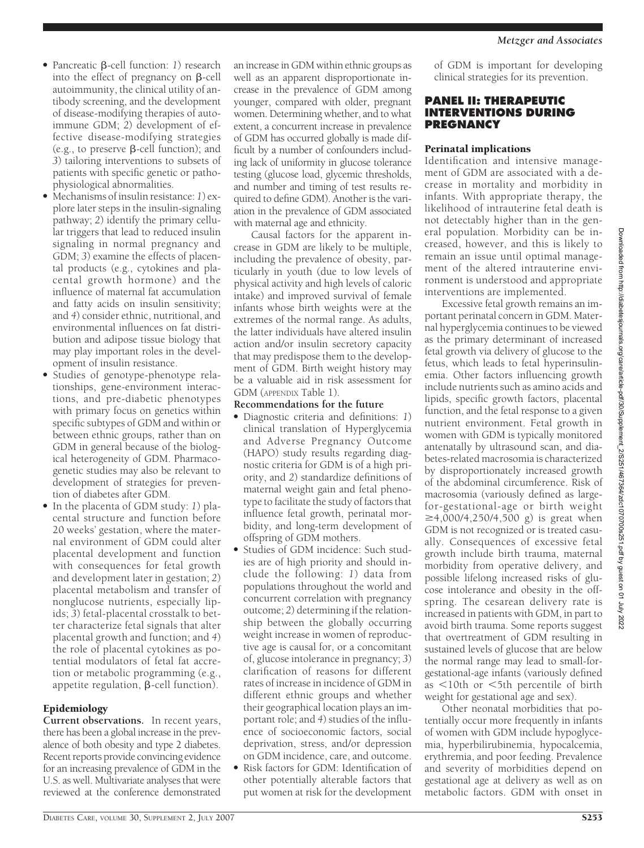- Pancreatic β-cell function: 1) research into the effect of pregnancy on  $\beta$ -cell autoimmunity, the clinical utility of antibody screening, and the development of disease-modifying therapies of autoimmune GDM; *2*) development of effective disease-modifying strategies (e.g., to preserve  $\beta$ -cell function); and *3*) tailoring interventions to subsets of patients with specific genetic or pathophysiological abnormalities.
- Mechanisms of insulin resistance: *1*) explore later steps in the insulin-signaling pathway; *2*) identify the primary cellular triggers that lead to reduced insulin signaling in normal pregnancy and GDM; *3*) examine the effects of placental products (e.g., cytokines and placental growth hormone) and the influence of maternal fat accumulation and fatty acids on insulin sensitivity; and *4*) consider ethnic, nutritional, and environmental influences on fat distribution and adipose tissue biology that may play important roles in the development of insulin resistance.
- Studies of genotype-phenotype relationships, gene-environment interactions, and pre-diabetic phenotypes with primary focus on genetics within specific subtypes of GDM and within or between ethnic groups, rather than on GDM in general because of the biological heterogeneity of GDM. Pharmacogenetic studies may also be relevant to development of strategies for prevention of diabetes after GDM.
- In the placenta of GDM study: *1*) placental structure and function before 20 weeks' gestation, where the maternal environment of GDM could alter placental development and function with consequences for fetal growth and development later in gestation; *2*) placental metabolism and transfer of nonglucose nutrients, especially lipids; *3*) fetal-placental crosstalk to better characterize fetal signals that alter placental growth and function; and *4*) the role of placental cytokines as potential modulators of fetal fat accretion or metabolic programming (e.g., appetite regulation,  $\beta$ -cell function).

## Epidemiology

**Current observations.** In recent years, there has been a global increase in the prevalence of both obesity and type 2 diabetes. Recent reports provide convincing evidence for an increasing prevalence of GDM in the U.S. as well. Multivariate analyses that were reviewed at the conference demonstrated an increase in GDM within ethnic groups as well as an apparent disproportionate increase in the prevalence of GDM among younger, compared with older, pregnant women. Determining whether, and to what extent, a concurrent increase in prevalence of GDM has occurred globally is made difficult by a number of confounders including lack of uniformity in glucose tolerance testing (glucose load, glycemic thresholds, and number and timing of test results required to define GDM). Another is the variation in the prevalence of GDM associated with maternal age and ethnicity.

Causal factors for the apparent increase in GDM are likely to be multiple, including the prevalence of obesity, particularly in youth (due to low levels of physical activity and high levels of caloric intake) and improved survival of female infants whose birth weights were at the extremes of the normal range. As adults, the latter individuals have altered insulin action and/or insulin secretory capacity that may predispose them to the development of GDM. Birth weight history may be a valuable aid in risk assessment for GDM (APPENDIX Table 1).

## **Recommendations for the future**

- Diagnostic criteria and definitions: *1*) clinical translation of Hyperglycemia and Adverse Pregnancy Outcome (HAPO) study results regarding diagnostic criteria for GDM is of a high priority, and *2*) standardize definitions of maternal weight gain and fetal phenotype to facilitate the study of factors that influence fetal growth, perinatal morbidity, and long-term development of offspring of GDM mothers.
- Studies of GDM incidence: Such studies are of high priority and should include the following: *1*) data from populations throughout the world and concurrent correlation with pregnancy outcome; *2*) determining if the relationship between the globally occurring weight increase in women of reproductive age is causal for, or a concomitant of, glucose intolerance in pregnancy; *3*) clarification of reasons for different rates of increase in incidence of GDM in different ethnic groups and whether their geographical location plays an important role; and *4*) studies of the influence of socioeconomic factors, social deprivation, stress, and/or depression on GDM incidence, care, and outcome.
- Risk factors for GDM: Identification of other potentially alterable factors that put women at risk for the development

of GDM is important for developing clinical strategies for its prevention.

#### **PANEL II: THERAPEUTIC INTERVENTIONS DURING PREGNANCY**

## Perinatal implications

Identification and intensive management of GDM are associated with a decrease in mortality and morbidity in infants. With appropriate therapy, the likelihood of intrauterine fetal death is not detectably higher than in the general population. Morbidity can be increased, however, and this is likely to remain an issue until optimal management of the altered intrauterine environment is understood and appropriate interventions are implemented.

Excessive fetal growth remains an important perinatal concern in GDM. Maternal hyperglycemia continues to be viewed as the primary determinant of increased fetal growth via delivery of glucose to the fetus, which leads to fetal hyperinsulinemia. Other factors influencing growth include nutrients such as amino acids and lipids, specific growth factors, placental function, and the fetal response to a given nutrient environment. Fetal growth in women with GDM is typically monitored antenatally by ultrasound scan, and diabetes-related macrosomia is characterized by disproportionately increased growth of the abdominal circumference. Risk of macrosomia (variously defined as largefor-gestational-age or birth weight  $≥$ 4,000/4,250/4,500 g) is great when GDM is not recognized or is treated casually. Consequences of excessive fetal growth include birth trauma, maternal morbidity from operative delivery, and possible lifelong increased risks of glucose intolerance and obesity in the offspring. The cesarean delivery rate is increased in patients with GDM, in part to avoid birth trauma. Some reports suggest that overtreatment of GDM resulting in sustained levels of glucose that are below the normal range may lead to small-forgestational-age infants (variously defined as  $10$ th or  $5th$  percentile of birth weight for gestational age and sex).

Other neonatal morbidities that potentially occur more frequently in infants of women with GDM include hypoglycemia, hyperbilirubinemia, hypocalcemia, erythremia, and poor feeding. Prevalence and severity of morbidities depend on gestational age at delivery as well as on metabolic factors. GDM with onset in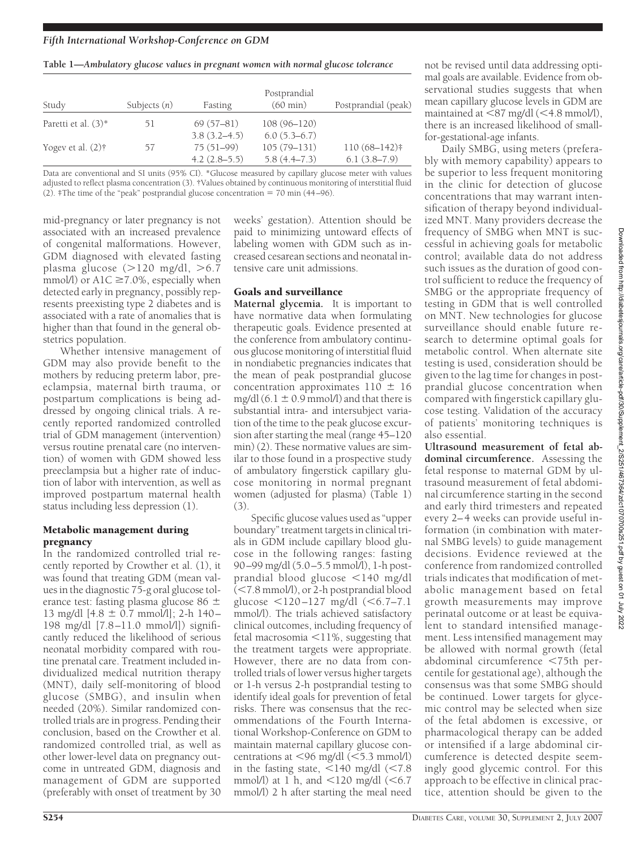| Table 1-Ambulatory glucose values in pregnant women with normal glucose tolerance |  |  |
|-----------------------------------------------------------------------------------|--|--|
|                                                                                   |  |  |

| Study                  | Subjects $(n)$ | Fasting          | Postprandial<br>$(60 \text{ min})$ | Postprandial (peak) |
|------------------------|----------------|------------------|------------------------------------|---------------------|
| Paretti et al. $(3)^*$ | 51             | $69(57-81)$      | $108(96 - 120)$                    |                     |
|                        |                | $3.8(3.2 - 4.5)$ | $6.0(5.3-6.7)$                     |                     |
| Yogev et al. $(2)$ †   | 57             | $75(51-99)$      | $105(79 - 131)$                    | $110(68-142)$       |
|                        |                | $4.2(2.8-5.5)$   | $5.8(4.4 - 7.3)$                   | $6.1(3.8-7.9)$      |

Data are conventional and SI units (95% CI). \*Glucose measured by capillary glucose meter with values adjusted to reflect plasma concentration (3). †Values obtained by continuous monitoring of interstitial fluid (2).  $\text{\textsterling}$  The time of the "peak" postprandial glucose concentration = 70 min (44–96).

mid-pregnancy or later pregnancy is not associated with an increased prevalence of congenital malformations. However, GDM diagnosed with elevated fasting plasma glucose  $(>120 \text{ mg/dl})$ ,  $>6.7$ mmol/l) or  $A1C \ge 7.0\%$ , especially when detected early in pregnancy, possibly represents preexisting type 2 diabetes and is associated with a rate of anomalies that is higher than that found in the general obstetrics population.

Whether intensive management of GDM may also provide benefit to the mothers by reducing preterm labor, preeclampsia, maternal birth trauma, or postpartum complications is being addressed by ongoing clinical trials. A recently reported randomized controlled trial of GDM management (intervention) versus routine prenatal care (no intervention) of women with GDM showed less preeclampsia but a higher rate of induction of labor with intervention, as well as improved postpartum maternal health status including less depression (1).

## Metabolic management during pregnancy

In the randomized controlled trial recently reported by Crowther et al. (1), it was found that treating GDM (mean values in the diagnostic 75-g oral glucose tolerance test: fasting plasma glucose 86  $\pm$ 13 mg/dl  $[4.8 \pm 0.7 \text{ mmol/l}]$ ; 2-h 140-198 mg/dl [7.8–11.0 mmol/l]) significantly reduced the likelihood of serious neonatal morbidity compared with routine prenatal care. Treatment included individualized medical nutrition therapy (MNT), daily self-monitoring of blood glucose (SMBG), and insulin when needed (20%). Similar randomized controlled trials are in progress. Pending their conclusion, based on the Crowther et al. randomized controlled trial, as well as other lower-level data on pregnancy outcome in untreated GDM, diagnosis and management of GDM are supported (preferably with onset of treatment by 30

weeks' gestation). Attention should be paid to minimizing untoward effects of labeling women with GDM such as increased cesarean sections and neonatal intensive care unit admissions.

## Goals and surveillance

**Maternal glycemia.** It is important to have normative data when formulating therapeutic goals. Evidence presented at the conference from ambulatory continuous glucose monitoring of interstitial fluid in nondiabetic pregnancies indicates that the mean of peak postprandial glucose concentration approximates  $110 \pm 16$ mg/dl  $(6.1 \pm 0.9 \text{mmol/l})$  and that there is substantial intra- and intersubject variation of the time to the peak glucose excursion after starting the meal (range 45–120 min) (2). These normative values are similar to those found in a prospective study of ambulatory fingerstick capillary glucose monitoring in normal pregnant women (adjusted for plasma) (Table 1) (3).

Specific glucose values used as "upper boundary" treatment targets in clinical trials in GDM include capillary blood glucose in the following ranges: fasting 90–99 mg/dl (5.0–5.5 mmol/l), 1-h postprandial blood glucose  $\leq$ 140 mg/dl (7.8 mmol/l), or 2-h postprandial blood glucose  $\langle 120-127 \text{ mg/dl}$  ( $\langle 6.7-7.1 \rangle$ mmol/l). The trials achieved satisfactory clinical outcomes, including frequency of fetal macrosomia  $\leq 11\%$ , suggesting that the treatment targets were appropriate. However, there are no data from controlled trials of lower versus higher targets or 1-h versus 2-h postprandial testing to identify ideal goals for prevention of fetal risks. There was consensus that the recommendations of the Fourth International Workshop-Conference on GDM to maintain maternal capillary glucose concentrations at  $\leq$ 96 mg/dl ( $\leq$ 5.3 mmol/l) in the fasting state,  $\langle 140 \rangle$  mg/dl ( $\langle 7.8 \rangle$ mmol/l) at 1 h, and  $\langle 120 \text{ mg/dl} \rangle$  ( $\langle 6.7 \rangle$ mmol/l) 2 h after starting the meal need

not be revised until data addressing optimal goals are available. Evidence from observational studies suggests that when mean capillary glucose levels in GDM are maintained at  $\leq$ 87 mg/dl ( $\leq$ 4.8 mmol/l), there is an increased likelihood of smallfor-gestational-age infants.

Daily SMBG, using meters (preferably with memory capability) appears to be superior to less frequent monitoring in the clinic for detection of glucose concentrations that may warrant intensification of therapy beyond individualized MNT. Many providers decrease the frequency of SMBG when MNT is successful in achieving goals for metabolic control; available data do not address such issues as the duration of good control sufficient to reduce the frequency of SMBG or the appropriate frequency of testing in GDM that is well controlled on MNT. New technologies for glucose surveillance should enable future research to determine optimal goals for metabolic control. When alternate site testing is used, consideration should be given to the lag time for changes in postprandial glucose concentration when compared with fingerstick capillary glucose testing. Validation of the accuracy of patients' monitoring techniques is also essential.

**Ultrasound measurement of fetal abdominal circumference.** Assessing the fetal response to maternal GDM by ultrasound measurement of fetal abdominal circumference starting in the second and early third trimesters and repeated every 2–4 weeks can provide useful information (in combination with maternal SMBG levels) to guide management decisions. Evidence reviewed at the conference from randomized controlled trials indicates that modification of metabolic management based on fetal growth measurements may improve perinatal outcome or at least be equivalent to standard intensified management. Less intensified management may be allowed with normal growth (fetal abdominal circumference  $\leq 75$ th percentile for gestational age), although the consensus was that some SMBG should be continued. Lower targets for glycemic control may be selected when size of the fetal abdomen is excessive, or pharmacological therapy can be added or intensified if a large abdominal circumference is detected despite seemingly good glycemic control. For this approach to be effective in clinical practice, attention should be given to the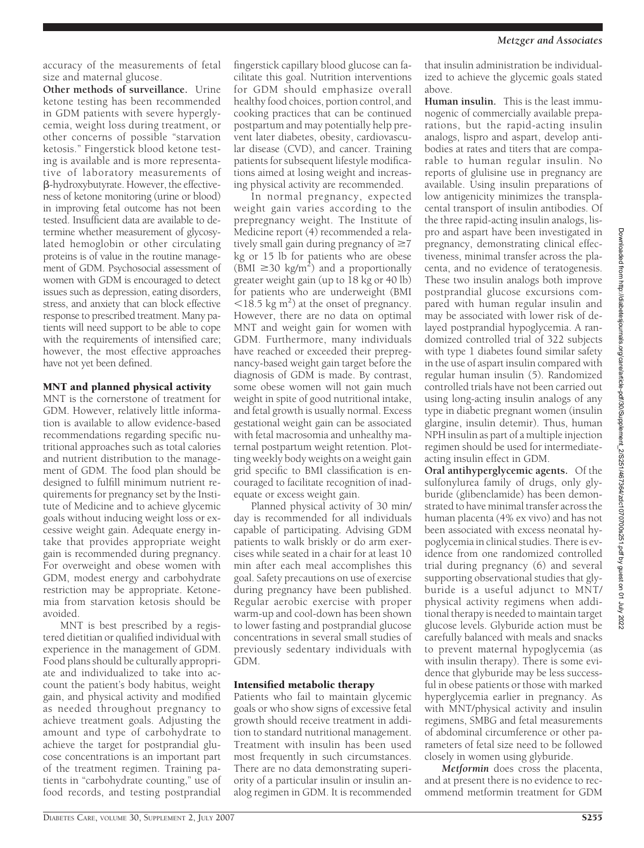accuracy of the measurements of fetal size and maternal glucose.

**Other methods of surveillance.** Urine ketone testing has been recommended in GDM patients with severe hyperglycemia, weight loss during treatment, or other concerns of possible "starvation ketosis." Fingerstick blood ketone testing is available and is more representative of laboratory measurements of --hydroxybutyrate. However, the effectiveness of ketone monitoring (urine or blood) in improving fetal outcome has not been tested. Insufficient data are available to determine whether measurement of glycosylated hemoglobin or other circulating proteins is of value in the routine management of GDM. Psychosocial assessment of women with GDM is encouraged to detect issues such as depression, eating disorders, stress, and anxiety that can block effective response to prescribed treatment. Many patients will need support to be able to cope with the requirements of intensified care; however, the most effective approaches have not yet been defined.

## MNT and planned physical activity

MNT is the cornerstone of treatment for GDM. However, relatively little information is available to allow evidence-based recommendations regarding specific nutritional approaches such as total calories and nutrient distribution to the management of GDM. The food plan should be designed to fulfill minimum nutrient requirements for pregnancy set by the Institute of Medicine and to achieve glycemic goals without inducing weight loss or excessive weight gain. Adequate energy intake that provides appropriate weight gain is recommended during pregnancy. For overweight and obese women with GDM, modest energy and carbohydrate restriction may be appropriate. Ketonemia from starvation ketosis should be avoided.

MNT is best prescribed by a registered dietitian or qualified individual with experience in the management of GDM. Food plans should be culturally appropriate and individualized to take into account the patient's body habitus, weight gain, and physical activity and modified as needed throughout pregnancy to achieve treatment goals. Adjusting the amount and type of carbohydrate to achieve the target for postprandial glucose concentrations is an important part of the treatment regimen. Training patients in "carbohydrate counting," use of food records, and testing postprandial

fingerstick capillary blood glucose can facilitate this goal. Nutrition interventions for GDM should emphasize overall healthy food choices, portion control, and cooking practices that can be continued postpartum and may potentially help prevent later diabetes, obesity, cardiovascular disease (CVD), and cancer. Training patients for subsequent lifestyle modifications aimed at losing weight and increasing physical activity are recommended.

In normal pregnancy, expected weight gain varies according to the prepregnancy weight. The Institute of Medicine report (4) recommended a relatively small gain during pregnancy of  $\geq 7$ kg or 15 lb for patients who are obese  $(BMI \geq 30 \text{ kg/m}^2)$  and a proportionally greater weight gain (up to 18 kg or 40 lb) for patients who are underweight (BMI  $\leq$ 18.5 kg m<sup>2</sup>) at the onset of pregnancy. However, there are no data on optimal MNT and weight gain for women with GDM. Furthermore, many individuals have reached or exceeded their prepregnancy-based weight gain target before the diagnosis of GDM is made. By contrast, some obese women will not gain much weight in spite of good nutritional intake, and fetal growth is usually normal. Excess gestational weight gain can be associated with fetal macrosomia and unhealthy maternal postpartum weight retention. Plotting weekly body weights on a weight gain grid specific to BMI classification is encouraged to facilitate recognition of inadequate or excess weight gain.

Planned physical activity of 30 min/ day is recommended for all individuals capable of participating. Advising GDM patients to walk briskly or do arm exercises while seated in a chair for at least 10 min after each meal accomplishes this goal. Safety precautions on use of exercise during pregnancy have been published. Regular aerobic exercise with proper warm-up and cool-down has been shown to lower fasting and postprandial glucose concentrations in several small studies of previously sedentary individuals with GDM.

## Intensified metabolic therapy

Patients who fail to maintain glycemic goals or who show signs of excessive fetal growth should receive treatment in addition to standard nutritional management. Treatment with insulin has been used most frequently in such circumstances. There are no data demonstrating superiority of a particular insulin or insulin analog regimen in GDM. It is recommended

that insulin administration be individualized to achieve the glycemic goals stated above.

**Human insulin.** This is the least immunogenic of commercially available preparations, but the rapid-acting insulin analogs, lispro and aspart, develop antibodies at rates and titers that are comparable to human regular insulin. No reports of glulisine use in pregnancy are available. Using insulin preparations of low antigenicity minimizes the transplacental transport of insulin antibodies. Of the three rapid-acting insulin analogs, lispro and aspart have been investigated in pregnancy, demonstrating clinical effectiveness, minimal transfer across the placenta, and no evidence of teratogenesis. These two insulin analogs both improve postprandial glucose excursions compared with human regular insulin and may be associated with lower risk of delayed postprandial hypoglycemia. A randomized controlled trial of 322 subjects with type 1 diabetes found similar safety in the use of aspart insulin compared with regular human insulin (5). Randomized controlled trials have not been carried out using long-acting insulin analogs of any type in diabetic pregnant women (insulin glargine, insulin detemir). Thus, human NPH insulin as part of a multiple injection regimen should be used for intermediateacting insulin effect in GDM.

**Oral antihyperglycemic agents.** Of the sulfonylurea family of drugs, only glyburide (glibenclamide) has been demonstrated to have minimal transfer across the human placenta (4% ex vivo) and has not been associated with excess neonatal hypoglycemia in clinical studies. There is evidence from one randomized controlled trial during pregnancy (6) and several supporting observational studies that glyburide is a useful adjunct to MNT/ physical activity regimens when additional therapy is needed to maintain target glucose levels. Glyburide action must be carefully balanced with meals and snacks to prevent maternal hypoglycemia (as with insulin therapy). There is some evidence that glyburide may be less successful in obese patients or those with marked hyperglycemia earlier in pregnancy. As with MNT/physical activity and insulin regimens, SMBG and fetal measurements of abdominal circumference or other parameters of fetal size need to be followed closely in women using glyburide.

*Metformin* does cross the placenta, and at present there is no evidence to recommend metformin treatment for GDM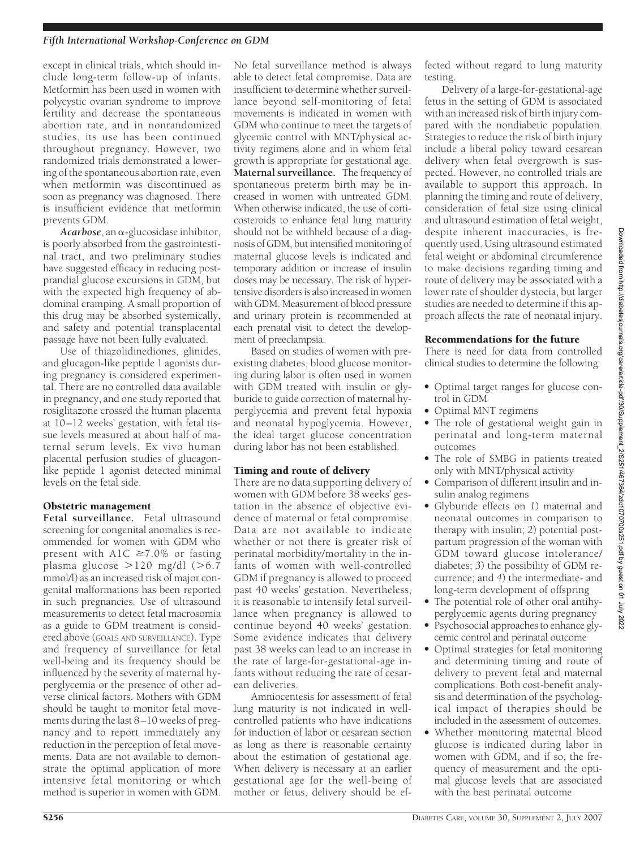#### *Fifth International Workshop-Conference on GDM*

except in clinical trials, which should include long-term follow-up of infants. Metformin has been used in women with polycystic ovarian syndrome to improve fertility and decrease the spontaneous abortion rate, and in nonrandomized studies, its use has been continued throughout pregnancy. However, two randomized trials demonstrated a lowering of the spontaneous abortion rate, even when metformin was discontinued as soon as pregnancy was diagnosed. There is insufficient evidence that metformin prevents GDM.

 $Acarbose$ , an  $\alpha$ -glucosidase inhibitor, is poorly absorbed from the gastrointestinal tract, and two preliminary studies have suggested efficacy in reducing postprandial glucose excursions in GDM, but with the expected high frequency of abdominal cramping. A small proportion of this drug may be absorbed systemically, and safety and potential transplacental passage have not been fully evaluated.

Use of thiazolidinediones, glinides, and glucagon-like peptide 1 agonists during pregnancy is considered experimental. There are no controlled data available in pregnancy, and one study reported that rosiglitazone crossed the human placenta at 10–12 weeks' gestation, with fetal tissue levels measured at about half of maternal serum levels. Ex vivo human placental perfusion studies of glucagonlike peptide 1 agonist detected minimal levels on the fetal side.

## Obstetric management

**Fetal surveillance.** Fetal ultrasound screening for congenital anomalies is recommended for women with GDM who present with A1C  $\geq 7.0\%$  or fasting plasma glucose  $>120$  mg/dl ( $>6.7$ mmol/l) as an increased risk of major congenital malformations has been reported in such pregnancies. Use of ultrasound measurements to detect fetal macrosomia as a guide to GDM treatment is considered above (GOALS AND SURVEILLANCE). Type and frequency of surveillance for fetal well-being and its frequency should be influenced by the severity of maternal hyperglycemia or the presence of other adverse clinical factors. Mothers with GDM should be taught to monitor fetal movements during the last 8–10 weeks of pregnancy and to report immediately any reduction in the perception of fetal movements. Data are not available to demonstrate the optimal application of more intensive fetal monitoring or which method is superior in women with GDM.

No fetal surveillance method is always able to detect fetal compromise. Data are insufficient to determine whether surveillance beyond self-monitoring of fetal movements is indicated in women with GDM who continue to meet the targets of glycemic control with MNT/physical activity regimens alone and in whom fetal growth is appropriate for gestational age. **Maternal surveillance.** The frequency of spontaneous preterm birth may be increased in women with untreated GDM. When otherwise indicated, the use of corticosteroids to enhance fetal lung maturity should not be withheld because of a diagnosis of GDM, but intensified monitoring of maternal glucose levels is indicated and temporary addition or increase of insulin doses may be necessary. The risk of hypertensive disorders is also increased in women with GDM. Measurement of blood pressure and urinary protein is recommended at each prenatal visit to detect the development of preeclampsia.

Based on studies of women with preexisting diabetes, blood glucose monitoring during labor is often used in women with GDM treated with insulin or glyburide to guide correction of maternal hyperglycemia and prevent fetal hypoxia and neonatal hypoglycemia. However, the ideal target glucose concentration during labor has not been established.

#### Timing and route of delivery

There are no data supporting delivery of women with GDM before 38 weeks' gestation in the absence of objective evidence of maternal or fetal compromise. Data are not available to indicate whether or not there is greater risk of perinatal morbidity/mortality in the infants of women with well-controlled GDM if pregnancy is allowed to proceed past 40 weeks' gestation. Nevertheless, it is reasonable to intensify fetal surveillance when pregnancy is allowed to continue beyond 40 weeks' gestation. Some evidence indicates that delivery past 38 weeks can lead to an increase in the rate of large-for-gestational-age infants without reducing the rate of cesarean deliveries.

Amniocentesis for assessment of fetal lung maturity is not indicated in wellcontrolled patients who have indications for induction of labor or cesarean section as long as there is reasonable certainty about the estimation of gestational age. When delivery is necessary at an earlier gestational age for the well-being of mother or fetus, delivery should be effected without regard to lung maturity testing.

Delivery of a large-for-gestational-age fetus in the setting of GDM is associated with an increased risk of birth injury compared with the nondiabetic population. Strategies to reduce the risk of birth injury include a liberal policy toward cesarean delivery when fetal overgrowth is suspected. However, no controlled trials are available to support this approach. In planning the timing and route of delivery, consideration of fetal size using clinical and ultrasound estimation of fetal weight, despite inherent inaccuracies, is frequently used. Using ultrasound estimated fetal weight or abdominal circumference to make decisions regarding timing and route of delivery may be associated with a lower rate of shoulder dystocia, but larger studies are needed to determine if this approach affects the rate of neonatal injury.

## Recommendations for the future

There is need for data from controlled clinical studies to determine the following:

- Optimal target ranges for glucose control in GDM
- Optimal MNT regimens
- The role of gestational weight gain in perinatal and long-term maternal outcomes
- The role of SMBG in patients treated only with MNT/physical activity
- Comparison of different insulin and insulin analog regimens
- Glyburide effects on 1) maternal and neonatal outcomes in comparison to therapy with insulin; *2*) potential postpartum progression of the woman with GDM toward glucose intolerance/ diabetes; *3*) the possibility of GDM recurrence; and *4*) the intermediate- and long-term development of offspring
- The potential role of other oral antihyperglycemic agents during pregnancy
- Psychosocial approaches to enhance glycemic control and perinatal outcome
- Optimal strategies for fetal monitoring and determining timing and route of delivery to prevent fetal and maternal complications. Both cost-benefit analysis and determination of the psychological impact of therapies should be included in the assessment of outcomes.
- Whether monitoring maternal blood glucose is indicated during labor in women with GDM, and if so, the frequency of measurement and the optimal glucose levels that are associated with the best perinatal outcome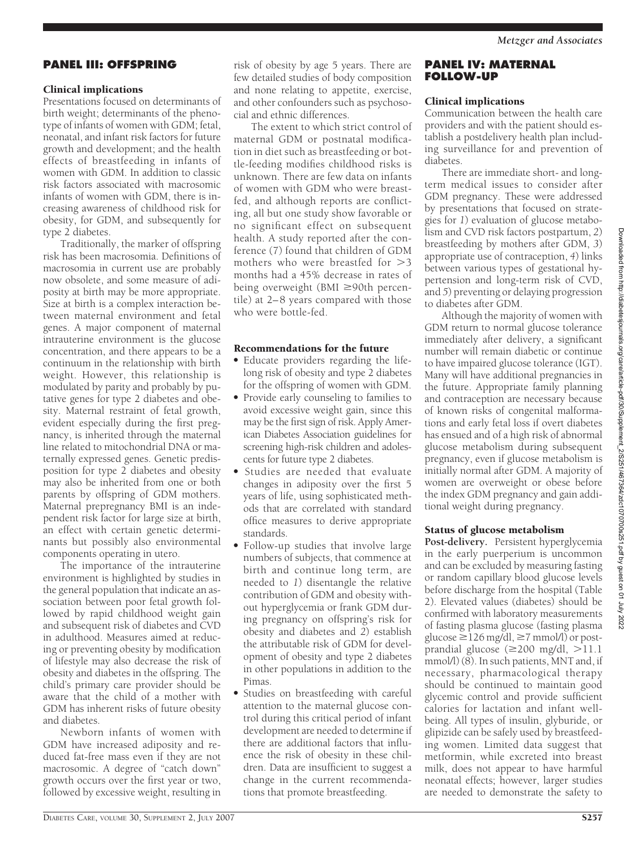## **PANEL III: OFFSPRING**

## Clinical implications

Presentations focused on determinants of birth weight; determinants of the phenotype of infants of women with GDM; fetal, neonatal, and infant risk factors for future growth and development; and the health effects of breastfeeding in infants of women with GDM. In addition to classic risk factors associated with macrosomic infants of women with GDM, there is increasing awareness of childhood risk for obesity, for GDM, and subsequently for type 2 diabetes.

Traditionally, the marker of offspring risk has been macrosomia. Definitions of macrosomia in current use are probably now obsolete, and some measure of adiposity at birth may be more appropriate. Size at birth is a complex interaction between maternal environment and fetal genes. A major component of maternal intrauterine environment is the glucose concentration, and there appears to be a continuum in the relationship with birth weight. However, this relationship is modulated by parity and probably by putative genes for type 2 diabetes and obesity. Maternal restraint of fetal growth, evident especially during the first pregnancy, is inherited through the maternal line related to mitochondrial DNA or maternally expressed genes. Genetic predisposition for type 2 diabetes and obesity may also be inherited from one or both parents by offspring of GDM mothers. Maternal prepregnancy BMI is an independent risk factor for large size at birth, an effect with certain genetic determinants but possibly also environmental components operating in utero.

The importance of the intrauterine environment is highlighted by studies in the general population that indicate an association between poor fetal growth followed by rapid childhood weight gain and subsequent risk of diabetes and CVD in adulthood. Measures aimed at reducing or preventing obesity by modification of lifestyle may also decrease the risk of obesity and diabetes in the offspring. The child's primary care provider should be aware that the child of a mother with GDM has inherent risks of future obesity and diabetes.

Newborn infants of women with GDM have increased adiposity and reduced fat-free mass even if they are not macrosomic. A degree of "catch down" growth occurs over the first year or two, followed by excessive weight, resulting in

risk of obesity by age 5 years. There are few detailed studies of body composition and none relating to appetite, exercise, and other confounders such as psychosocial and ethnic differences.

The extent to which strict control of maternal GDM or postnatal modification in diet such as breastfeeding or bottle-feeding modifies childhood risks is unknown. There are few data on infants of women with GDM who were breastfed, and although reports are conflicting, all but one study show favorable or no significant effect on subsequent health. A study reported after the conference (7) found that children of GDM mothers who were breastfed for  $>3$ months had a 45% decrease in rates of being overweight (BMI  $\geq$ 90th percentile) at 2–8 years compared with those who were bottle-fed.

## Recommendations for the future

- Educate providers regarding the lifelong risk of obesity and type 2 diabetes for the offspring of women with GDM.
- Provide early counseling to families to avoid excessive weight gain, since this may be the first sign of risk. Apply American Diabetes Association guidelines for screening high-risk children and adolescents for future type 2 diabetes.
- Studies are needed that evaluate changes in adiposity over the first 5 years of life, using sophisticated methods that are correlated with standard office measures to derive appropriate standards.
- Follow-up studies that involve large numbers of subjects, that commence at birth and continue long term, are needed to *1*) disentangle the relative contribution of GDM and obesity without hyperglycemia or frank GDM during pregnancy on offspring's risk for obesity and diabetes and *2*) establish the attributable risk of GDM for development of obesity and type 2 diabetes in other populations in addition to the Pimas.
- Studies on breastfeeding with careful attention to the maternal glucose control during this critical period of infant development are needed to determine if there are additional factors that influence the risk of obesity in these children. Data are insufficient to suggest a change in the current recommendations that promote breastfeeding.

#### **PANEL IV: MATERNAL FOLLOW-UP**

## Clinical implications

Communication between the health care providers and with the patient should establish a postdelivery health plan including surveillance for and prevention of diabetes.

There are immediate short- and longterm medical issues to consider after GDM pregnancy. These were addressed by presentations that focused on strategies for *1*) evaluation of glucose metabolism and CVD risk factors postpartum, *2*) breastfeeding by mothers after GDM, *3*) appropriate use of contraception, *4*) links between various types of gestational hypertension and long-term risk of CVD, and *5*) preventing or delaying progression to diabetes after GDM.

Although the majority of women with GDM return to normal glucose tolerance immediately after delivery, a significant number will remain diabetic or continue to have impaired glucose tolerance (IGT). Many will have additional pregnancies in the future. Appropriate family planning and contraception are necessary because of known risks of congenital malformations and early fetal loss if overt diabetes has ensued and of a high risk of abnormal glucose metabolism during subsequent pregnancy, even if glucose metabolism is initially normal after GDM. A majority of women are overweight or obese before the index GDM pregnancy and gain additional weight during pregnancy.

## Status of glucose metabolism

**Post-delivery.** Persistent hyperglycemia in the early puerperium is uncommon and can be excluded by measuring fasting or random capillary blood glucose levels before discharge from the hospital (Table 2). Elevated values (diabetes) should be confirmed with laboratory measurements of fasting plasma glucose (fasting plasma glucose  $\geq$  126 mg/dl,  $\geq$ 7 mmol/l) or postprandial glucose ( $\geq$ 200 mg/dl,  $>11.1$ mmol/l) (8). In such patients, MNT and, if necessary, pharmacological therapy should be continued to maintain good glycemic control and provide sufficient calories for lactation and infant wellbeing. All types of insulin, glyburide, or glipizide can be safely used by breastfeeding women. Limited data suggest that metformin, while excreted into breast milk, does not appear to have harmful neonatal effects; however, larger studies are needed to demonstrate the safety to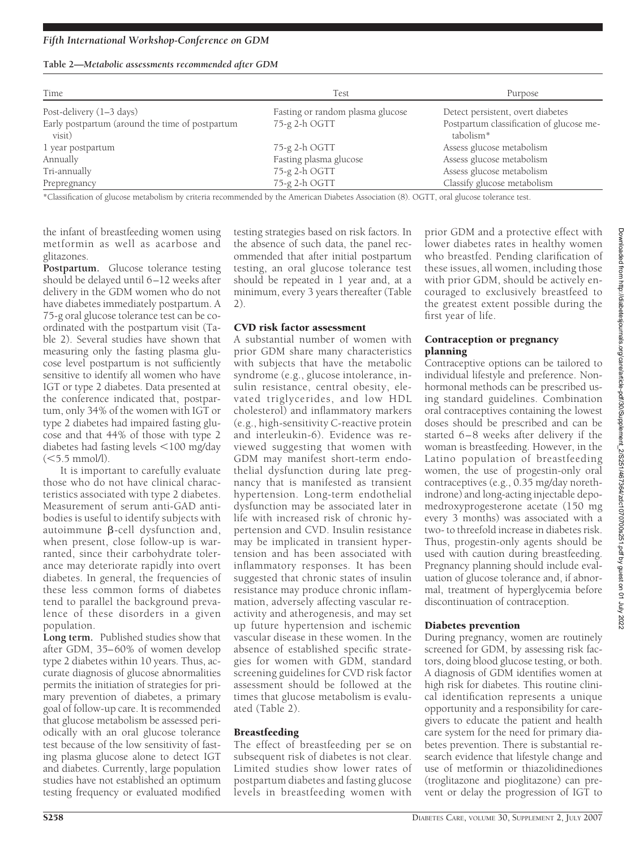| Table 2-Metabolic assessments recommended after GDM |  |  |  |  |
|-----------------------------------------------------|--|--|--|--|
|-----------------------------------------------------|--|--|--|--|

| Time                                                      | Test                             | Purpose                                                           |
|-----------------------------------------------------------|----------------------------------|-------------------------------------------------------------------|
| Post-delivery $(1-3 \text{ days})$                        | Fasting or random plasma glucose | Detect persistent, overt diabetes                                 |
| Early postpartum (around the time of postpartum<br>visit) | $75-g$ 2-h OGTT                  | Postpartum classification of glucose me-<br>tabolism <sup>*</sup> |
| 1 year postpartum                                         | $75-g$ 2-h OGTT                  | Assess glucose metabolism                                         |
| Annually                                                  | Fasting plasma glucose           | Assess glucose metabolism                                         |
| Tri-annually                                              | 75-g 2-h OGTT                    | Assess glucose metabolism                                         |
| Prepregnancy                                              | 75-g 2-h OGTT                    | Classify glucose metabolism                                       |

\*Classification of glucose metabolism by criteria recommended by the American Diabetes Association (8). OGTT, oral glucose tolerance test.

the infant of breastfeeding women using metformin as well as acarbose and glitazones.

**Postpartum.** Glucose tolerance testing should be delayed until 6–12 weeks after delivery in the GDM women who do not have diabetes immediately postpartum. A 75-g oral glucose tolerance test can be coordinated with the postpartum visit (Table 2). Several studies have shown that measuring only the fasting plasma glucose level postpartum is not sufficiently sensitive to identify all women who have IGT or type 2 diabetes. Data presented at the conference indicated that, postpartum, only 34% of the women with IGT or type 2 diabetes had impaired fasting glucose and that 44% of those with type 2 diabetes had fasting levels  $\leq 100$  mg/day  $(<5.5$  mmol $\ell$ ).

It is important to carefully evaluate those who do not have clinical characteristics associated with type 2 diabetes. Measurement of serum anti-GAD antibodies is useful to identify subjects with autoimmune  $\beta$ -cell dysfunction and, when present, close follow-up is warranted, since their carbohydrate tolerance may deteriorate rapidly into overt diabetes. In general, the frequencies of these less common forms of diabetes tend to parallel the background prevalence of these disorders in a given population.

**Long term.** Published studies show that after GDM, 35–60% of women develop type 2 diabetes within 10 years. Thus, accurate diagnosis of glucose abnormalities permits the initiation of strategies for primary prevention of diabetes, a primary goal of follow-up care. It is recommended that glucose metabolism be assessed periodically with an oral glucose tolerance test because of the low sensitivity of fasting plasma glucose alone to detect IGT and diabetes. Currently, large population studies have not established an optimum testing frequency or evaluated modified

testing strategies based on risk factors. In the absence of such data, the panel recommended that after initial postpartum testing, an oral glucose tolerance test should be repeated in 1 year and, at a minimum, every 3 years thereafter (Table 2).

## CVD risk factor assessment

A substantial number of women with prior GDM share many characteristics with subjects that have the metabolic syndrome (e.g., glucose intolerance, insulin resistance, central obesity, elevated triglycerides, and low HDL cholesterol) and inflammatory markers (e.g., high-sensitivity C-reactive protein and interleukin-6). Evidence was reviewed suggesting that women with GDM may manifest short-term endothelial dysfunction during late pregnancy that is manifested as transient hypertension. Long-term endothelial dysfunction may be associated later in life with increased risk of chronic hypertension and CVD. Insulin resistance may be implicated in transient hypertension and has been associated with inflammatory responses. It has been suggested that chronic states of insulin resistance may produce chronic inflammation, adversely affecting vascular reactivity and atherogenesis, and may set up future hypertension and ischemic vascular disease in these women. In the absence of established specific strategies for women with GDM, standard screening guidelines for CVD risk factor assessment should be followed at the times that glucose metabolism is evaluated (Table 2).

## Breastfeeding

The effect of breastfeeding per se on subsequent risk of diabetes is not clear. Limited studies show lower rates of postpartum diabetes and fasting glucose levels in breastfeeding women with

prior GDM and a protective effect with lower diabetes rates in healthy women who breastfed. Pending clarification of these issues, all women, including those with prior GDM, should be actively encouraged to exclusively breastfeed to the greatest extent possible during the first year of life.

#### Contraception or pregnancy planning

Contraceptive options can be tailored to individual lifestyle and preference. Nonhormonal methods can be prescribed using standard guidelines. Combination oral contraceptives containing the lowest doses should be prescribed and can be started 6–8 weeks after delivery if the woman is breastfeeding. However, in the Latino population of breastfeeding women, the use of progestin-only oral contraceptives (e.g., 0.35 mg/day norethindrone) and long-acting injectable depomedroxyprogesterone acetate (150 mg every 3 months) was associated with a two- to threefold increase in diabetes risk. Thus, progestin-only agents should be used with caution during breastfeeding. Pregnancy planning should include evaluation of glucose tolerance and, if abnormal, treatment of hyperglycemia before discontinuation of contraception.

## Diabetes prevention

During pregnancy, women are routinely screened for GDM, by assessing risk factors, doing blood glucose testing, or both. A diagnosis of GDM identifies women at high risk for diabetes. This routine clinical identification represents a unique opportunity and a responsibility for caregivers to educate the patient and health care system for the need for primary diabetes prevention. There is substantial research evidence that lifestyle change and use of metformin or thiazolidinediones (troglitazone and pioglitazone) can prevent or delay the progression of IGT to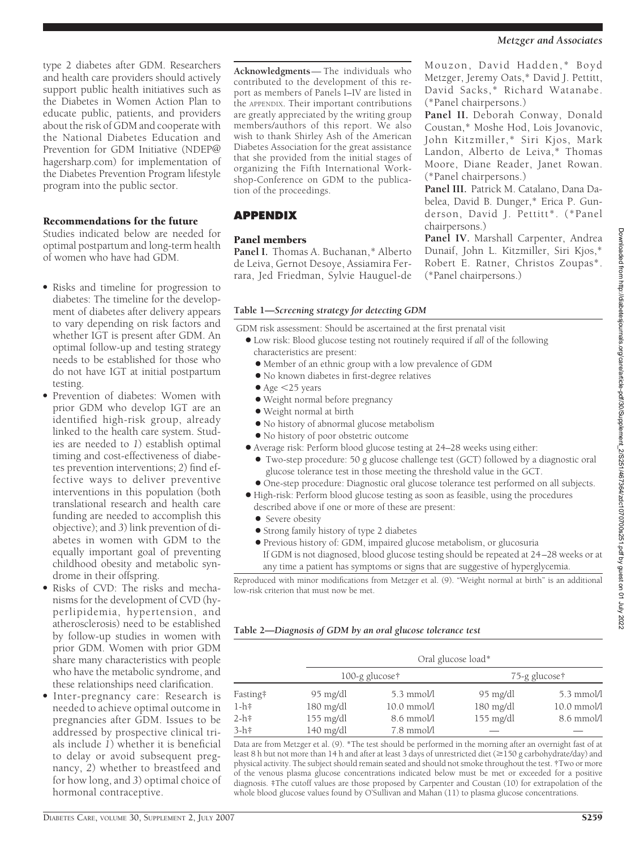Mouzon, David Hadden,\* Boyd Metzger, Jeremy Oats,\* David J. Pettitt, David Sacks,\* Richard Watanabe.

**Panel II.** Deborah Conway, Donald Coustan,\* Moshe Hod, Lois Jovanovic, John Kitzmiller,\* Siri Kjos, Mark Landon, Alberto de Leiva,\* Thomas Moore, Diane Reader, Janet Rowan.

**Panel III.** Patrick M. Catalano, Dana Dabelea, David B. Dunger,\* Erica P. Gunderson, David J. Pettitt\*. (\*Panel

**Panel IV.** Marshall Carpenter, Andrea Dunaif, John L. Kitzmiller, Siri Kjos,\* Robert E. Ratner, Christos Zoupas\*.

(\*Panel chairpersons.)

(\*Panel chairpersons.)

(\*Panel chairpersons.)

chairpersons.)

type 2 diabetes after GDM. Researchers and health care providers should actively support public health initiatives such as the Diabetes in Women Action Plan to educate public, patients, and providers about the risk of GDM and cooperate with the National Diabetes Education and Prevention for GDM Initiative (NDEP@ hagersharp.com) for implementation of the Diabetes Prevention Program lifestyle program into the public sector.

## Recommendations for the future

Studies indicated below are needed for optimal postpartum and long-term health of women who have had GDM.

- Risks and timeline for progression to diabetes: The timeline for the development of diabetes after delivery appears to vary depending on risk factors and whether IGT is present after GDM. An optimal follow-up and testing strategy needs to be established for those who do not have IGT at initial postpartum testing.
- Prevention of diabetes: Women with prior GDM who develop IGT are an identified high-risk group, already linked to the health care system. Studies are needed to *1*) establish optimal timing and cost-effectiveness of diabetes prevention interventions; *2*) find effective ways to deliver preventive interventions in this population (both translational research and health care funding are needed to accomplish this objective); and *3*) link prevention of diabetes in women with GDM to the equally important goal of preventing childhood obesity and metabolic syndrome in their offspring.
- Risks of CVD: The risks and mechanisms for the development of CVD (hyperlipidemia, hypertension, and atherosclerosis) need to be established by follow-up studies in women with prior GDM. Women with prior GDM share many characteristics with people who have the metabolic syndrome, and these relationships need clarification.
- Inter-pregnancy care: Research is needed to achieve optimal outcome in pregnancies after GDM. Issues to be addressed by prospective clinical trials include *1*) whether it is beneficial to delay or avoid subsequent pregnancy, *2*) whether to breastfeed and for how long, and *3*) optimal choice of hormonal contraceptive.

**Acknowledgments**— The individuals who contributed to the development of this report as members of Panels I–IV are listed in the APPENDIX. Their important contributions are greatly appreciated by the writing group members/authors of this report. We also wish to thank Shirley Ash of the American Diabetes Association for the great assistance that she provided from the initial stages of organizing the Fifth International Workshop-Conference on GDM to the publication of the proceedings.

## **APPENDIX**

## Panel members

**Panel I.** Thomas A. Buchanan,\* Alberto de Leiva, Gernot Desoye, Assiamira Ferrara, Jed Friedman, Sylvie Hauguel-de

## **Table 1—***Screening strategy for detecting GDM*

GDM risk assessment: Should be ascertained at the first prenatal visit

- Low risk: Blood glucose testing not routinely required if *all* of the following characteristics are present:
	- Member of an ethnic group with a low prevalence of GDM
	- No known diabetes in first-degree relatives
	- $\rho$  Age  $\leq$  25 years
	- Weight normal before pregnancy
	- Weight normal at birth
	- No history of abnormal glucose metabolism
	- No history of poor obstetric outcome
- Average risk: Perform blood glucose testing at 24–28 weeks using either:
	- Two-step procedure: 50 g glucose challenge test (GCT) followed by a diagnostic oral glucose tolerance test in those meeting the threshold value in the GCT.
	- One-step procedure: Diagnostic oral glucose tolerance test performed on all subjects.
- High-risk: Perform blood glucose testing as soon as feasible, using the procedures described above if one or more of these are present:
	- Severe obesity
	- Strong family history of type 2 diabetes
	- Previous history of: GDM, impaired glucose metabolism, or glucosuria If GDM is not diagnosed, blood glucose testing should be repeated at 24–28 weeks or at any time a patient has symptoms or signs that are suggestive of hyperglycemia.

Reproduced with minor modifications from Metzger et al. (9). "Weight normal at birth" is an additional low-risk criterion that must now be met.

## **Table 2—***Diagnosis of GDM by an oral glucose tolerance test*

| Fasting‡ |                     | Oral glucose load*   |                     |               |  |
|----------|---------------------|----------------------|---------------------|---------------|--|
|          |                     | $100-g$ glucose†     |                     | 75-g glucose† |  |
|          | $95 \text{ mg/dl}$  | $5.3 \text{ mmol/l}$ | $95 \text{ mg/dl}$  | $5.3$ mmol/l  |  |
| $1-h$ †  | $180 \text{ mg/dl}$ | $10.0$ mmol/l        | $180 \text{ mg/dl}$ | $10.0$ mmol/l |  |
| $2-h$ #  | $155 \text{ mg/dl}$ | $8.6 \text{ mmol/l}$ | $155$ mg/dl         | $8.6$ mmol/l  |  |
| $3-h$ #  | 140 mg/dl           | $7.8$ mmol/l         |                     |               |  |

Data are from Metzger et al. (9). \*The test should be performed in the morning after an overnight fast of at least 8 h but not more than 14 h and after at least 3 days of unrestricted diet ( $\geq$ 150 g carbohydrate/day) and physical activity. The subject should remain seated and should not smoke throughout the test. †Two or more of the venous plasma glucose concentrations indicated below must be met or exceeded for a positive diagnosis. ‡The cutoff values are those proposed by Carpenter and Coustan (10) for extrapolation of the whole blood glucose values found by O'Sullivan and Mahan (11) to plasma glucose concentrations.